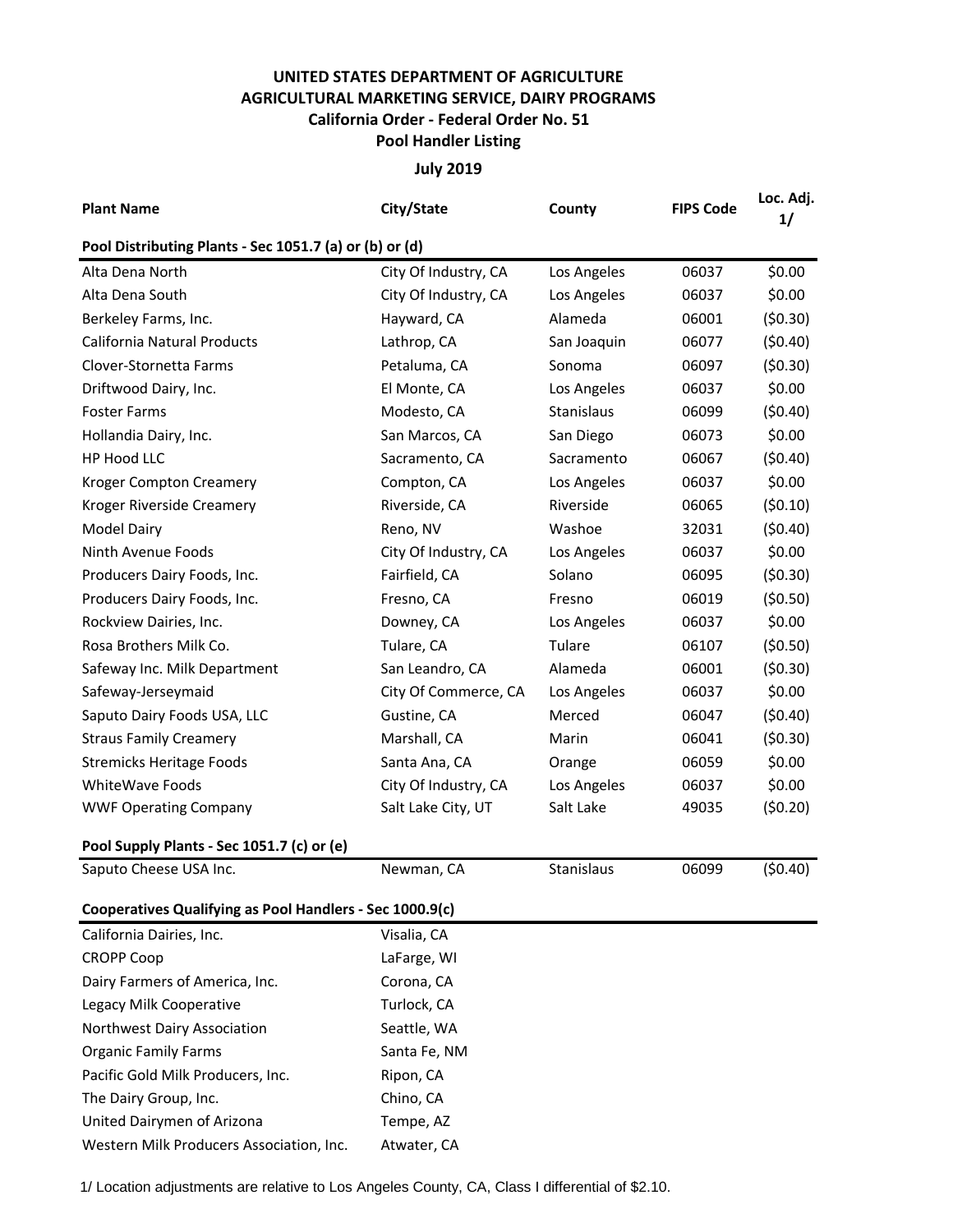## **UNITED STATES DEPARTMENT OF AGRICULTURE AGRICULTURAL MARKETING SERVICE, DAIRY PROGRAMS Pool Handler Listing California Order - Federal Order No. 51**

## **July 2019**

| <b>Plant Name</b>                                        | City/State           | County            | <b>FIPS Code</b> | Loc. Adj.<br>1/ |  |  |  |  |  |
|----------------------------------------------------------|----------------------|-------------------|------------------|-----------------|--|--|--|--|--|
| Pool Distributing Plants - Sec 1051.7 (a) or (b) or (d)  |                      |                   |                  |                 |  |  |  |  |  |
| Alta Dena North                                          | City Of Industry, CA | Los Angeles       | 06037            | \$0.00          |  |  |  |  |  |
| Alta Dena South                                          | City Of Industry, CA | Los Angeles       | 06037            | \$0.00          |  |  |  |  |  |
| Berkeley Farms, Inc.                                     | Hayward, CA          | Alameda           | 06001            | (50.30)         |  |  |  |  |  |
| California Natural Products                              | Lathrop, CA          | San Joaquin       | 06077            | (50.40)         |  |  |  |  |  |
| Clover-Stornetta Farms                                   | Petaluma, CA         | Sonoma            | 06097            | (50.30)         |  |  |  |  |  |
| Driftwood Dairy, Inc.                                    | El Monte, CA         | Los Angeles       | 06037            | \$0.00          |  |  |  |  |  |
| <b>Foster Farms</b>                                      | Modesto, CA          | <b>Stanislaus</b> | 06099            | (50.40)         |  |  |  |  |  |
| Hollandia Dairy, Inc.                                    | San Marcos, CA       | San Diego         | 06073            | \$0.00          |  |  |  |  |  |
| HP Hood LLC                                              | Sacramento, CA       | Sacramento        | 06067            | (50.40)         |  |  |  |  |  |
| <b>Kroger Compton Creamery</b>                           | Compton, CA          | Los Angeles       | 06037            | \$0.00          |  |  |  |  |  |
| Kroger Riverside Creamery                                | Riverside, CA        | Riverside         | 06065            | (50.10)         |  |  |  |  |  |
| <b>Model Dairy</b>                                       | Reno, NV             | Washoe            | 32031            | (50.40)         |  |  |  |  |  |
| Ninth Avenue Foods                                       | City Of Industry, CA | Los Angeles       | 06037            | \$0.00          |  |  |  |  |  |
| Producers Dairy Foods, Inc.                              | Fairfield, CA        | Solano            | 06095            | (50.30)         |  |  |  |  |  |
| Producers Dairy Foods, Inc.                              | Fresno, CA           | Fresno            | 06019            | (50.50)         |  |  |  |  |  |
| Rockview Dairies, Inc.                                   | Downey, CA           | Los Angeles       | 06037            | \$0.00          |  |  |  |  |  |
| Rosa Brothers Milk Co.                                   | Tulare, CA           | Tulare            | 06107            | (50.50)         |  |  |  |  |  |
| Safeway Inc. Milk Department                             | San Leandro, CA      | Alameda           | 06001            | (50.30)         |  |  |  |  |  |
| Safeway-Jerseymaid                                       | City Of Commerce, CA | Los Angeles       | 06037            | \$0.00          |  |  |  |  |  |
| Saputo Dairy Foods USA, LLC                              | Gustine, CA          | Merced            | 06047            | (50.40)         |  |  |  |  |  |
| <b>Straus Family Creamery</b>                            | Marshall, CA         | Marin             | 06041            | (50.30)         |  |  |  |  |  |
| <b>Stremicks Heritage Foods</b>                          | Santa Ana, CA        | Orange            | 06059            | \$0.00          |  |  |  |  |  |
| <b>WhiteWave Foods</b>                                   | City Of Industry, CA | Los Angeles       | 06037            | \$0.00          |  |  |  |  |  |
| <b>WWF Operating Company</b>                             | Salt Lake City, UT   | Salt Lake         | 49035            | (50.20)         |  |  |  |  |  |
| Pool Supply Plants - Sec 1051.7 (c) or (e)               |                      |                   |                  |                 |  |  |  |  |  |
| Saputo Cheese USA Inc.                                   | Newman, CA           | Stanislaus        | 06099            | (50.40)         |  |  |  |  |  |
| Cooperatives Qualifying as Pool Handlers - Sec 1000.9(c) |                      |                   |                  |                 |  |  |  |  |  |
| California Dairies, Inc.                                 | Visalia, CA          |                   |                  |                 |  |  |  |  |  |
| <b>CROPP Coop</b>                                        | LaFarge, WI          |                   |                  |                 |  |  |  |  |  |
| Dairy Farmers of America, Inc.                           | Corona, CA           |                   |                  |                 |  |  |  |  |  |
| Legacy Milk Cooperative                                  | Turlock, CA          |                   |                  |                 |  |  |  |  |  |
| Northwest Dairy Association                              | Seattle, WA          |                   |                  |                 |  |  |  |  |  |
| <b>Organic Family Farms</b>                              | Santa Fe, NM         |                   |                  |                 |  |  |  |  |  |
| Pacific Gold Milk Producers, Inc.                        | Ripon, CA            |                   |                  |                 |  |  |  |  |  |
| The Dairy Group, Inc.                                    | Chino, CA            |                   |                  |                 |  |  |  |  |  |
| United Dairymen of Arizona                               | Tempe, AZ            |                   |                  |                 |  |  |  |  |  |
| Western Milk Producers Association, Inc.                 | Atwater, CA          |                   |                  |                 |  |  |  |  |  |

1/ Location adjustments are relative to Los Angeles County, CA, Class I differential of \$2.10.